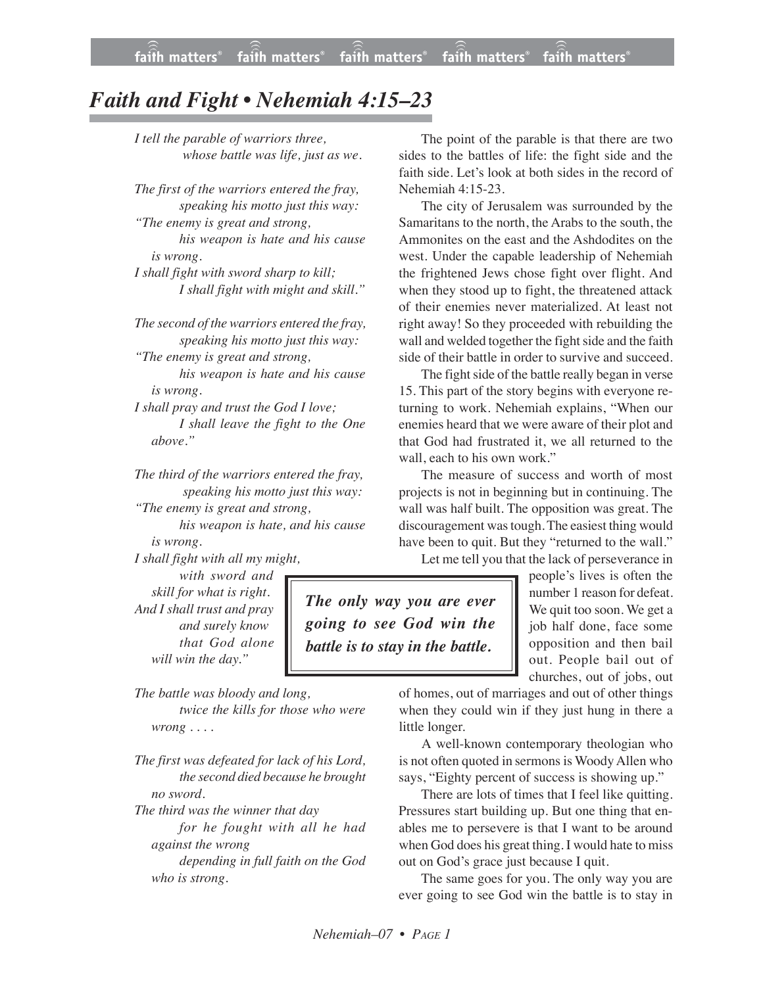## *Faith and Fight • Nehemiah 4:15–23*

*I tell the parable of warriors three, whose battle was life, just as we.*

*The first of the warriors entered the fray, speaking his motto just this way:*

*"The enemy is great and strong, his weapon is hate and his cause is wrong.*

*I shall fight with sword sharp to kill; I shall fight with might and skill."*

*The second of the warriors entered the fray, speaking his motto just this way: "The enemy is great and strong,*

*his weapon is hate and his cause is wrong.*

*I shall pray and trust the God I love; I shall leave the fight to the One above."*

*The third of the warriors entered the fray, speaking his motto just this way: "The enemy is great and strong,*

*his weapon is hate, and his cause is wrong.*

*I shall fight with all my might,*

*with sword and skill for what is right. And I shall trust and pray and surely know that God alone will win the day."*

*The only way you are ever going to see God win the battle is to stay in the battle.*

*The battle was bloody and long, twice the kills for those who were wrong . . . .*

*The first was defeated for lack of his Lord, the second died because he brought no sword.*

*The third was the winner that day for he fought with all he had against the wrong*

*depending in full faith on the God who is strong.*

The point of the parable is that there are two sides to the battles of life: the fight side and the faith side. Let's look at both sides in the record of Nehemiah 4:15-23.

The city of Jerusalem was surrounded by the Samaritans to the north, the Arabs to the south, the Ammonites on the east and the Ashdodites on the west. Under the capable leadership of Nehemiah the frightened Jews chose fight over flight. And when they stood up to fight, the threatened attack of their enemies never materialized. At least not right away! So they proceeded with rebuilding the wall and welded together the fight side and the faith side of their battle in order to survive and succeed.

The fight side of the battle really began in verse 15. This part of the story begins with everyone returning to work. Nehemiah explains, "When our enemies heard that we were aware of their plot and that God had frustrated it, we all returned to the wall, each to his own work."

The measure of success and worth of most projects is not in beginning but in continuing. The wall was half built. The opposition was great. The discouragement wastough. The easiest thing would have been to quit. But they "returned to the wall."

Let me tell you that the lack of perseverance in

people's lives is often the number 1 reason for defeat. We quit too soon. We get a job half done, face some opposition and then bail out. People bail out of churches, out of jobs, out

of homes, out of marriages and out of other things when they could win if they just hung in there a little longer.

A well-known contemporary theologian who is not often quoted in sermons is Woody Allen who says, "Eighty percent of success is showing up."

There are lots of times that I feel like quitting. Pressures start building up. But one thing that enables me to persevere is that I want to be around when God does his great thing. I would hate to miss out on God's grace just because I quit.

The same goes for you. The only way you are ever going to see God win the battle is to stay in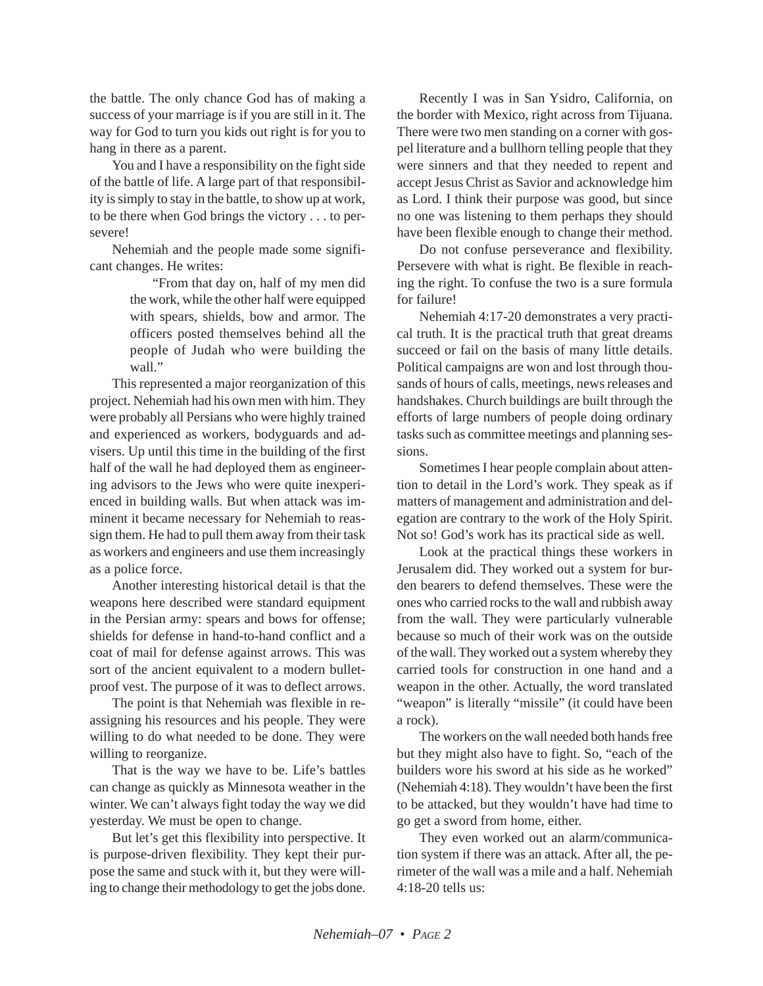the battle. The only chance God has of making a success of your marriage is if you are still in it. The way for God to turn you kids out right is for you to hang in there as a parent.

You and I have a responsibility on the fight side of the battle of life. A large part of that responsibility is simply to stay in the battle, to show up at work, to be there when God brings the victory . . . to persevere!

Nehemiah and the people made some significant changes. He writes:

> "From that day on, half of my men did the work, while the other half were equipped with spears, shields, bow and armor. The officers posted themselves behind all the people of Judah who were building the wall."

This represented a major reorganization of this project. Nehemiah had his own men with him. They were probably all Persians who were highly trained and experienced as workers, bodyguards and advisers. Up until this time in the building of the first half of the wall he had deployed them as engineering advisors to the Jews who were quite inexperienced in building walls. But when attack was imminent it became necessary for Nehemiah to reassign them. He had to pull them away from their task as workers and engineers and use them increasingly as a police force.

Another interesting historical detail is that the weapons here described were standard equipment in the Persian army: spears and bows for offense; shields for defense in hand-to-hand conflict and a coat of mail for defense against arrows. This was sort of the ancient equivalent to a modern bulletproof vest. The purpose of it was to deflect arrows.

The point is that Nehemiah was flexible in reassigning his resources and his people. They were willing to do what needed to be done. They were willing to reorganize.

That is the way we have to be. Life's battles can change as quickly as Minnesota weather in the winter. We can't always fight today the way we did yesterday. We must be open to change.

But let's get this flexibility into perspective. It is purpose-driven flexibility. They kept their purpose the same and stuck with it, but they were willing to change their methodology to get the jobs done.

Recently I was in San Ysidro, California, on the border with Mexico, right across from Tijuana. There were two men standing on a corner with gospel literature and a bullhorn telling people that they were sinners and that they needed to repent and accept Jesus Christ as Savior and acknowledge him as Lord. I think their purpose was good, but since no one was listening to them perhaps they should have been flexible enough to change their method.

Do not confuse perseverance and flexibility. Persevere with what is right. Be flexible in reaching the right. To confuse the two is a sure formula for failure!

Nehemiah 4:17-20 demonstrates a very practical truth. It is the practical truth that great dreams succeed or fail on the basis of many little details. Political campaigns are won and lost through thousands of hours of calls, meetings, news releases and handshakes. Church buildings are built through the efforts of large numbers of people doing ordinary tasks such as committee meetings and planning sessions.

Sometimes I hear people complain about attention to detail in the Lord's work. They speak as if matters of management and administration and delegation are contrary to the work of the Holy Spirit. Not so! God's work has its practical side as well.

Look at the practical things these workers in Jerusalem did. They worked out a system for burden bearers to defend themselves. These were the ones who carried rocks to the wall and rubbish away from the wall. They were particularly vulnerable because so much of their work was on the outside of the wall. They worked out a system whereby they carried tools for construction in one hand and a weapon in the other. Actually, the word translated "weapon" is literally "missile" (it could have been a rock).

The workers on the wall needed both hands free but they might also have to fight. So, "each of the builders wore his sword at his side as he worked" (Nehemiah 4:18). They wouldn't have been the first to be attacked, but they wouldn't have had time to go get a sword from home, either.

They even worked out an alarm/communication system if there was an attack. After all, the perimeter of the wall was a mile and a half. Nehemiah 4:18-20 tells us: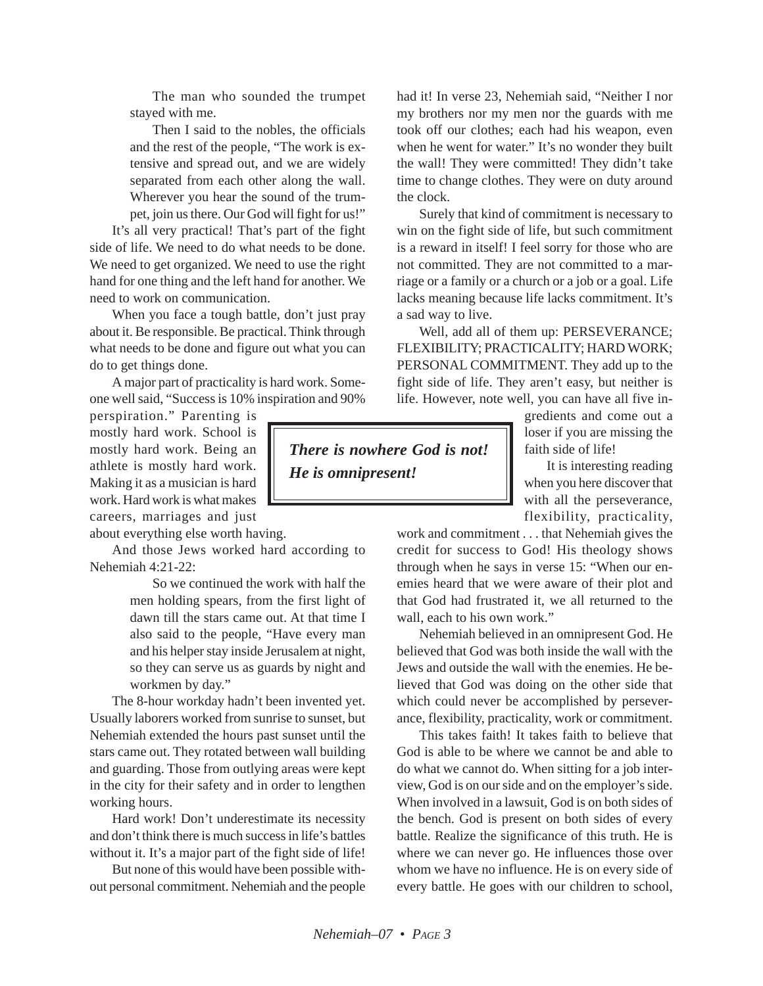The man who sounded the trumpet stayed with me.

Then I said to the nobles, the officials and the rest of the people, "The work is extensive and spread out, and we are widely separated from each other along the wall. Wherever you hear the sound of the trumpet, join us there. Our God will fight for us!"

It's all very practical! That's part of the fight side of life. We need to do what needs to be done. We need to get organized. We need to use the right hand for one thing and the left hand for another. We need to work on communication.

When you face a tough battle, don't just pray about it. Be responsible. Be practical. Think through what needs to be done and figure out what you can do to get things done.

A major part of practicality is hard work. Someone well said, "Success is 10% inspiration and 90%

perspiration." Parenting is mostly hard work. School is mostly hard work. Being an athlete is mostly hard work. Making it as a musician is hard work. Hard work is what makes careers, marriages and just

about everything else worth having.

And those Jews worked hard according to Nehemiah 4:21-22:

> So we continued the work with half the men holding spears, from the first light of dawn till the stars came out. At that time I also said to the people, "Have every man and his helper stay inside Jerusalem at night, so they can serve us as guards by night and workmen by day."

The 8-hour workday hadn't been invented yet. Usually laborers worked from sunrise to sunset, but Nehemiah extended the hours past sunset until the stars came out. They rotated between wall building and guarding. Those from outlying areas were kept in the city for their safety and in order to lengthen working hours.

Hard work! Don't underestimate its necessity and don't think there is much success in life's battles without it. It's a major part of the fight side of life!

But none of this would have been possible without personal commitment. Nehemiah and the people had it! In verse 23, Nehemiah said, "Neither I nor my brothers nor my men nor the guards with me took off our clothes; each had his weapon, even when he went for water." It's no wonder they built the wall! They were committed! They didn't take time to change clothes. They were on duty around the clock.

Surely that kind of commitment is necessary to win on the fight side of life, but such commitment is a reward in itself! I feel sorry for those who are not committed. They are not committed to a marriage or a family or a church or a job or a goal. Life lacks meaning because life lacks commitment. It's a sad way to live.

Well, add all of them up: PERSEVERANCE; FLEXIBILITY; PRACTICALITY; HARD WORK; PERSONAL COMMITMENT. They add up to the fight side of life. They aren't easy, but neither is life. However, note well, you can have all five in-

> gredients and come out a loser if you are missing the faith side of life!

> It is interesting reading when you here discover that with all the perseverance, flexibility, practicality,

work and commitment . . . that Nehemiah gives the credit for success to God! His theology shows through when he says in verse 15: "When our enemies heard that we were aware of their plot and that God had frustrated it, we all returned to the wall, each to his own work."

Nehemiah believed in an omnipresent God. He believed that God was both inside the wall with the Jews and outside the wall with the enemies. He believed that God was doing on the other side that which could never be accomplished by perseverance, flexibility, practicality, work or commitment.

This takes faith! It takes faith to believe that God is able to be where we cannot be and able to do what we cannot do. When sitting for a job interview, God is on our side and on the employer's side. When involved in a lawsuit, God is on both sides of the bench. God is present on both sides of every battle. Realize the significance of this truth. He is where we can never go. He influences those over whom we have no influence. He is on every side of every battle. He goes with our children to school,

*There is nowhere God is not! He is omnipresent!*